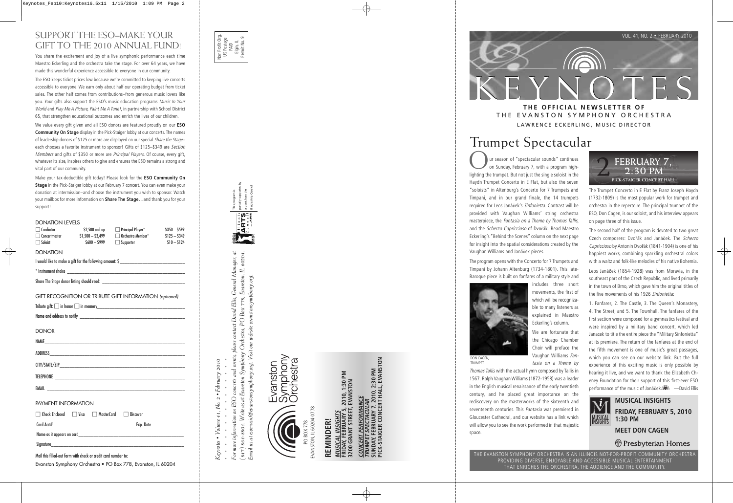

## THE EVANSTON SYMPHONY ORCHESTRA

LAWRENCE ECKERLING, MUSIC DIRECTOR

## Trumpet Spectacular

ur season of "spectacular sounds" continues on Sunday, February 7, with a program highlighting the trumpet. But not just the single soloist in the Haydn Trumpet Concerto in E Flat, but also the seven "soloists" in Altenburg's Concerto for 7 Trumpets and Timpani, and in our grand finale, the 14 trumpets required for Leos Janáček's Sinfonietta. Contrast will be provided with Vaughan Williams' string orchestra masterpiece, the Fantasia on a Theme by Thomas Tallis, and the *Scherzo Capriccioso* of Dvořák. Read Maestro Eckerling's "Behind the Scenes" column on the next page for insight into the spatial considerations created by the Vaughan Williams and Janá ček pieces.

The program opens with the Concerto for 7 Trumpets and Timpani by Johann Altenburg (1734-1801). This late-Baroque piece is built on fanfares of a military style and

> includes three short movements, the first of which will be recognizable to many listeners as explained in Maestro Eckerling's column. We are fortunate that the Chicago Chamber Choir will preface the Vaughan Williams Fan-



DON CAGEN, TRUMPET

tasia on a Theme by Thomas Tallis with the actual hymn composed by Tallis in 1567. Ralph Vaughan Williams (1872-1958) was a leader in the English musical renaissance of the early twentieth century, and he placed great importance on the rediscovery on the masterworks of the sixteenth and seventeenth centuries. This Fantasia was premiered in Gloucester Cathedral, and our website has a link which will allow you to see the work performed in that majestic space.



The Trumpet Concerto in E Flat by Franz Joseph Haydn (1732-1809) is the most popular work for trumpet and orchestra in the repertoire. The principal trumpet of the ESO, Don Cagen, is our soloist, and his interview appears on page three of this issue.

The second half of the program is devoted to two great Czech composers: Dvořák and Janáček. The Scherzo Capriccioso by Antonin Dvo řák (1841-1904) is one of his happiest works, combining sparkling orchestral colors with a waltz and folk-like melodies of his native Bohemia.

Leos Janá ček (1854-1928) was from Moravia, in the southeast part of the Czech Republic, and lived primarily in the town of Brno, which gave him the original titles of the five movements of his 1926 Sinfonietta:

1. Fanfares, 2. The Castle, 3. The Queen's Monastery, 4. The Street, and 5. The Townhall. The fanfares of the first section were composed for a gymnastics festival and were inspired by a military band concert, which led Janacek to title the entire piece the "Military Sinfonietta" at its premiere. The return of the fanfares at the end of the fifth movement is one of music's great passages, which you can see on our website link. But the full experience of this exciting music is only possible by hearing it live, and we want to thank the Elizabeth Cheney Foundation for their support of this first-ever ESO performance of the music of Janá ček.. —David Ellis



#### **MUSICAL INSIGHTS FRIDAY, FEBRUARY 5, 2010 1:30 PM**

**MEET DON CAGEN** 

**Fresbyterian Homes** 

THE EVANSTON SYMPHONY ORCHESTRA IS AN ILLINOIS NOT-FOR-PROFIT COMMUNITY ORCHESTRA PROVIDING DIVERSE, ENJOYABLE AND ACCESSIBLE MUSICAL ENTERTAINMENT THAT ENRICHES THE ORCHESTRA, THE AUDIENCE AND THE COMMUNITY.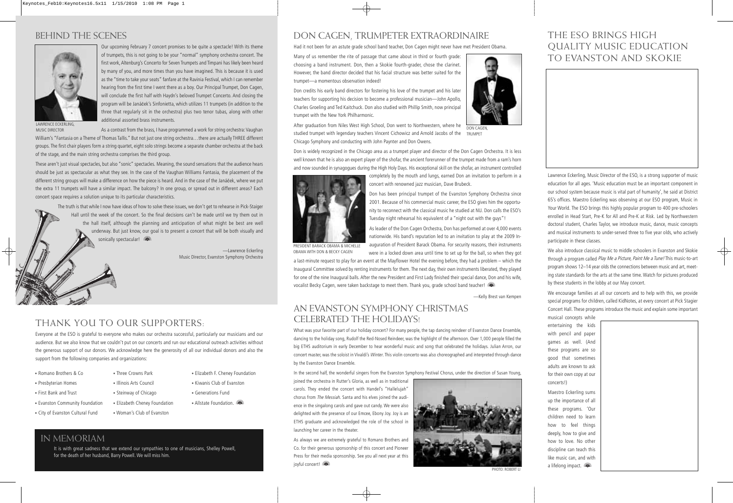### BEHIND THE SCENES



Our upcoming February 7 concert promises to be quite a spectacle! With its theme of trumpets, this is not going to be your "normal" symphony orchestra concert. The first work, Altenburg's Concerto for Seven Trumpets and Timpani has likely been heard by many of you, and more times than you have imagined. This is because it is used as the "time to take your seats" fanfare at the Ravinia Festival, which I can remember hearing from the first time I went there as a boy. Our Principal Trumpet, Don Cagen, will conclude the first half with Haydn's beloved Trumpet Concerto. And closing the program will be Janáček's Sinfonietta, which utilizes 11 trumpets (in addition to the three that regularly sit in the orchestra) plus two tenor tubas, along with other additional assorted brass instruments.

LAWRENCE ECKERLING, MUSIC DIRECTOR

As a contrast from the brass, I have programmed a work for string orchestra: Vaughan William's "Fantasia on a Theme of Thomas Tallis." But not just one string orchestra…there are actually THREE different groups. The first chair players form a string quartet, eight solo strings become a separate chamber orchestra at the back of the stage, and the main string orchestra comprises the third group.

These aren't just visual spectacles, but also "sonic" spectacles. Meaning, the sound sensations that the audience hears should be just as spectacular as what they see. In the case of the Vaughan Williams Fantasia, the placement of the different string groups will make a difference on how the piece is heard. And in the case of the Janáček, where we put the extra 11 trumpets will have a similar impact. The balcony? In one group, or spread out in different areas? Each concert space requires a solution unique to its particular characteristics.

> The truth is that while I now have ideas of how to solve these issues, we don't get to rehearse in Pick-Staiger Hall until the week of the concert. So the final decisions can't be made until we try them out in the hall itself, although the planning and anticipation of what might be best are well underway. But just know, our goal is to present a concert that will be both visually and sonically spectacular!

> > —Lawrence Eckerling Music Director, Evanston Symphony Orchestra

# THANK YOU TO OUR SUPPORTERS:

Everyone at the ESO is grateful to everyone who makes our orchestra successful, particularly our musicians and our audience. But we also know that we couldn't put on our concerts and run our educational outreach activities without the generous support of our donors. We acknowledge here the generosity of all our individual donors and also the support from the following companies and organizations:

- Romano Brothers & Co
- Presbyterian Homes
- First Bank and Trust
- Evanston Community Foundation
- City of Evanston Cultural Fund
- Three Crowns Park • Illinois Arts Council
- Steinway of Chicago
- Elizabeth Cheney Foundation
	- Woman's Club of Evanston
- Elizabeth F. Cheney Foundation
- Kiwanis Club of Evanston
- Generations Fund
- Allstate Foundation.

### DON CAGEN, TRUMPETER EXTRAORDINAIRE

Had it not been for an astute grade school band teacher, Don Cagen might never have met President Obama.

Many of us remember the rite of passage that came about in third or fourth grade: choosing a band instrument. Don, then a Skokie fourth-grader, chose the clarinet. However, the band director decided that his facial structure was better suited for the trumpet—a momentous observation indeed!

Don credits his early band directors for fostering his love of the trumpet and his later teachers for supporting his decision to become a professional musician—John Apollo, Charles Groeling and Ted Kaitchuck. Don also studied with Phillip Smith, now principal



After graduation from Niles West High School, Don went to Northwestern, where he studied trumpet with legendary teachers Vincent Cichowicz and Arnold Jacobs of the Chicago Symphony and conducting with John Paynter and Don Owens. DON CAGEN TRUMPET

Don is widely recognized in the Chicago area as a trumpet player and director of the Don Cagen Orchestra. It is less well known that he is also an expert player of the shofar, the ancient forerunner of the trumpet made from a ram's horn and now sounded in synagogues during the High Holy Days. His exceptional skill on the shofar, an instrument controlled



trumpet with the New York Philharmonic.

 completely by the mouth and lungs, earned Don an invitation to perform in a concert with renowned jazz musician, Dave Brubeck.

Don has been principal trumpet of the Evanston Symphony Orchestra since 2001. Because of his commercial music career, the ESO gives him the opportunity to reconnect with the classical music he studied at NU. Don calls the ESO's Tuesday night rehearsal his equivalent of a "night out with the guys"!

As leader of the Don Cagen Orchestra, Don has performed at over 4,000 events nationwide. His band's reputation led to an invitation to play at the 2009 Inauguration of President Barack Obama. For security reasons, their instruments were in a locked down area until time to set up for the ball, so when they got

PRESIDENT BARACK OBAMA & MICHELLE OBAMA WITH DON & BECKY CAGEN

a last-minute request to play for an event at the Mayflower Hotel the evening before, they had a problem – which the Inaugural Committee solved by renting instruments for them. The next day, their own instruments liberated, they played for one of the nine Inaugural balls. After the new President and First Lady finished their special dance, Don and his wife, vocalist Becky Cagen, were taken backstage to meet them. Thank you, grade school band teacher!

—Kelly Brest van Kempen

### AN EVANSTON SYMPHONY CHRISTMAS CELEBRATED THE HOLIDAYS!

What was your favorite part of our holiday concert? For many people, the tap dancing reindeer of Evanston Dance Ensemble, dancing to the holiday song, Rudolf the Red-Nosed Reindeer, was the highlight of the afternoon. Over 1,000 people filled the big ETHS auditorium in early December to hear wonderful music and song that celebrated the holidays. Julian Arron, our concert master, was the soloist in Vivaldi's Winter. This violin concerto was also choreographed and interpreted through dance by the Evanston Dance Ensemble.

In the second half, the wonderful singers from the Evanston Symphony Festival Chorus, under the direction of Susan Young,

joined the orchestra in Rutter's Gloria, as well as in traditional carols. They ended the concert with Handel's "Hallelujah" chorus from The Messiah. Santa and his elves joined the audience in the singalong carols and gave out candy. We were also delighted with the presence of our Emcee, Ebony Joy. Joy is an ETHS graduate and acknowledged the role of the school in launching her career in the theater.

As always we are extremely grateful to Romano Brothers and Co. for their generous sponsorship of this concert and Pioneer Press for their media sponsorship. See you all next year at this joyful concert!



#### IN MEMORIAM

It is with great sadness that we extend our sympathies to one of musicians, Shelley Powell, for the death of her husband, Barry Powell. We will miss him.